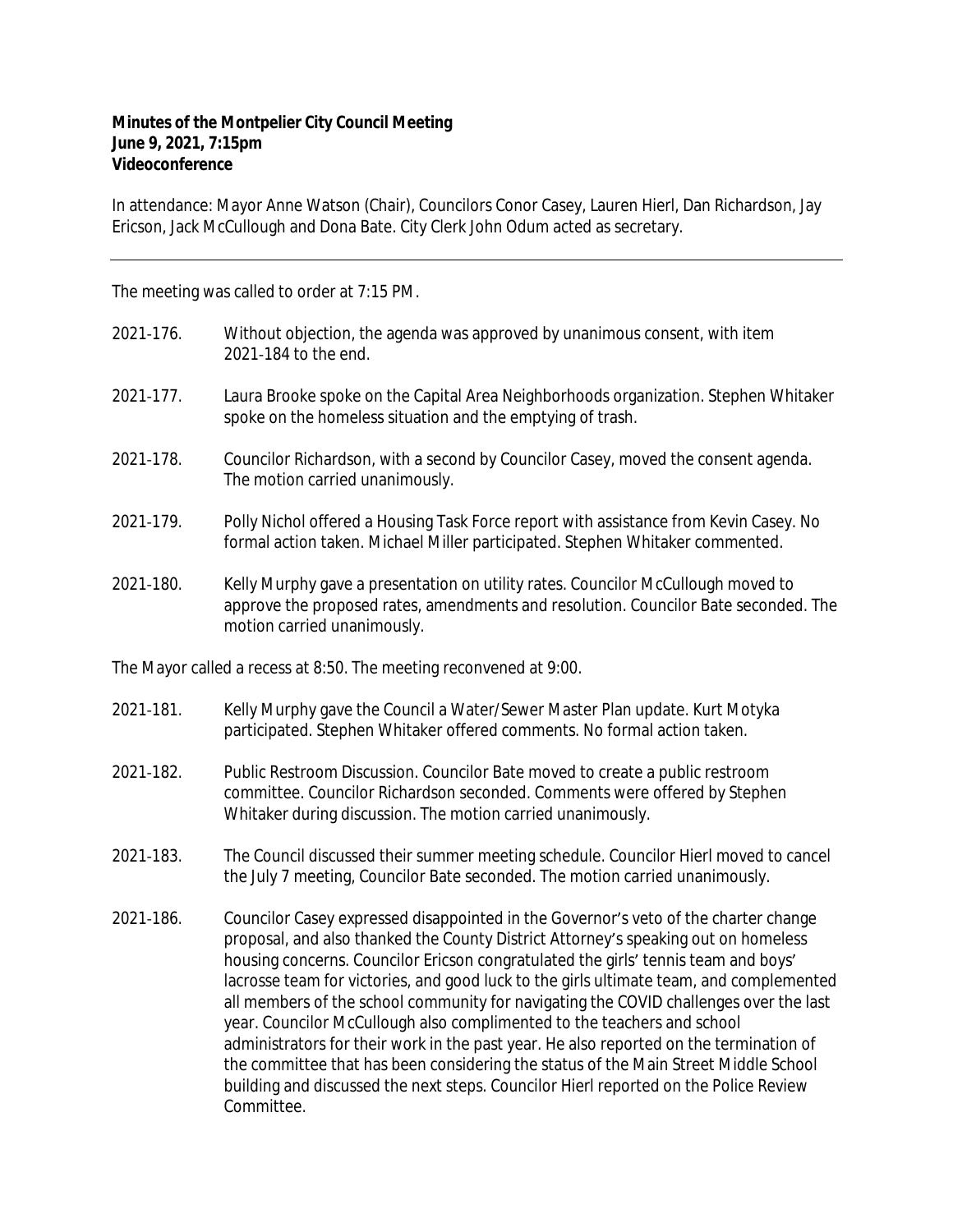## **Minutes of the Montpelier City Council Meeting June 9, 2021, 7:15pm Videoconference**

In attendance: Mayor Anne Watson (Chair), Councilors Conor Casey, Lauren Hierl, Dan Richardson, Jay Ericson, Jack McCullough and Dona Bate. City Clerk John Odum acted as secretary.

The meeting was called to order at 7:15 PM.

| 2021-176.                                                          | Without objection, the agenda was approved by unanimous consent, with item<br>2021-184 to the end.                                                                                                                                                                                                                                                         |
|--------------------------------------------------------------------|------------------------------------------------------------------------------------------------------------------------------------------------------------------------------------------------------------------------------------------------------------------------------------------------------------------------------------------------------------|
| 2021-177.                                                          | Laura Brooke spoke on the Capital Area Neighborhoods organization. Stephen Whitaker<br>spoke on the homeless situation and the emptying of trash.                                                                                                                                                                                                          |
| 2021-178.                                                          | Councilor Richardson, with a second by Councilor Casey, moved the consent agenda.<br>The motion carried unanimously.                                                                                                                                                                                                                                       |
| 2021-179.                                                          | Polly Nichol offered a Housing Task Force report with assistance from Kevin Casey. No<br>formal action taken. Michael Miller participated. Stephen Whitaker commented.                                                                                                                                                                                     |
| 2021-180.                                                          | Kelly Murphy gave a presentation on utility rates. Councilor McCullough moved to<br>approve the proposed rates, amendments and resolution. Councilor Bate seconded. The<br>motion carried unanimously.                                                                                                                                                     |
| The Mayor called a recess at 8:50. The meeting reconvened at 9:00. |                                                                                                                                                                                                                                                                                                                                                            |
| 2021-181.                                                          | Kelly Murphy gave the Council a Water/Sewer Master Plan update. Kurt Motyka<br>participated. Stephen Whitaker offered comments. No formal action taken.                                                                                                                                                                                                    |
| 2021-182.                                                          | Public Restroom Discussion. Councilor Bate moved to create a public restroom<br>committee. Councilor Richardson seconded. Comments were offered by Stephen<br>Whitaker during discussion. The motion carried unanimously.                                                                                                                                  |
| 2021-183.                                                          | The Council discussed their summer meeting schedule. Councilor Hierl moved to cancel<br>the July 7 meeting, Councilor Bate seconded. The motion carried unanimously.                                                                                                                                                                                       |
| 2021-186.                                                          | Councilor Casey expressed disappointed in the Governor's veto of the charter change<br>proposal, and also thanked the County District Attorney's speaking out on homeless<br>housing concerns. Councilor Ericson congratulated the girls' tennis team and boys'<br>lacrosse team for victories, and good luck to the girls ultimate team, and complemented |

all members of the school community for navigating the COVID challenges over the last year. Councilor McCullough also complimented to the teachers and school administrators for their work in the past year. He also reported on the termination of the committee that has been considering the status of the Main Street Middle School building and discussed the next steps. Councilor Hierl reported on the Police Review Committee.